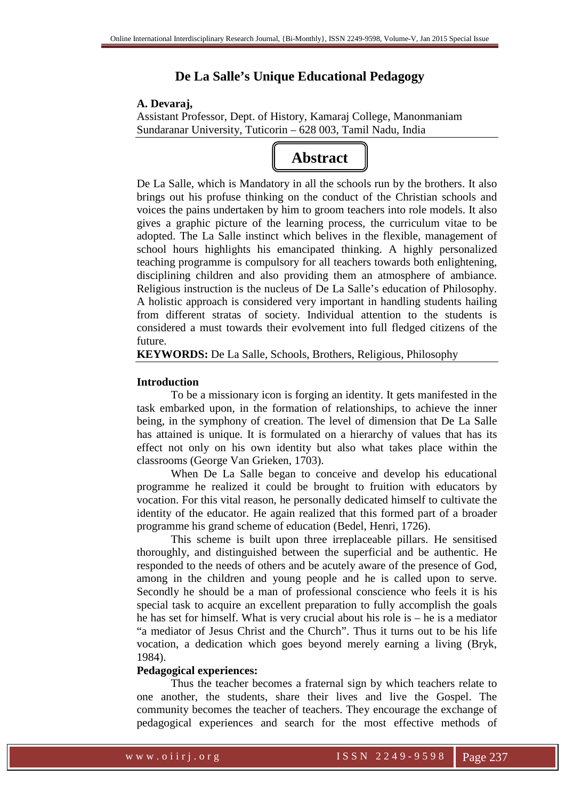# **De La Salle's Unique Educational Pedagogy**

## **A. Devaraj,**

Assistant Professor, Dept. of History, Kamaraj College, Manonmaniam Sundaranar University, Tuticorin – 628 003, Tamil Nadu, India

# **Abstract**

De La Salle, which is Mandatory in all the schools run by the brothers. It also brings out his profuse thinking on the conduct of the Christian schools and voices the pains undertaken by him to groom teachers into role models. It also gives a graphic picture of the learning process, the curriculum vitae to be adopted. The La Salle instinct which belives in the flexible, management of school hours highlights his emancipated thinking. A highly personalized teaching programme is compulsory for all teachers towards both enlightening, disciplining children and also providing them an atmosphere of ambiance. Religious instruction is the nucleus of De La Salle's education of Philosophy. A holistic approach is considered very important in handling students hailing from different stratas of society. Individual attention to the students is considered a must towards their evolvement into full fledged citizens of the future.

**KEYWORDS:** De La Salle, Schools, Brothers, Religious, Philosophy

# **Introduction**

 To be a missionary icon is forging an identity. It gets manifested in the task embarked upon, in the formation of relationships, to achieve the inner being, in the symphony of creation. The level of dimension that De La Salle has attained is unique. It is formulated on a hierarchy of values that has its effect not only on his own identity but also what takes place within the classrooms (George Van Grieken, 1703).

 When De La Salle began to conceive and develop his educational programme he realized it could be brought to fruition with educators by vocation. For this vital reason, he personally dedicated himself to cultivate the identity of the educator. He again realized that this formed part of a broader programme his grand scheme of education (Bedel, Henri, 1726).

 This scheme is built upon three irreplaceable pillars. He sensitised thoroughly, and distinguished between the superficial and be authentic. He responded to the needs of others and be acutely aware of the presence of God, among in the children and young people and he is called upon to serve. Secondly he should be a man of professional conscience who feels it is his special task to acquire an excellent preparation to fully accomplish the goals he has set for himself. What is very crucial about his role is – he is a mediator "a mediator of Jesus Christ and the Church". Thus it turns out to be his life vocation, a dedication which goes beyond merely earning a living (Bryk, 1984).

# **Pedagogical experiences:**

 Thus the teacher becomes a fraternal sign by which teachers relate to one another, the students, share their lives and live the Gospel. The community becomes the teacher of teachers. They encourage the exchange of pedagogical experiences and search for the most effective methods of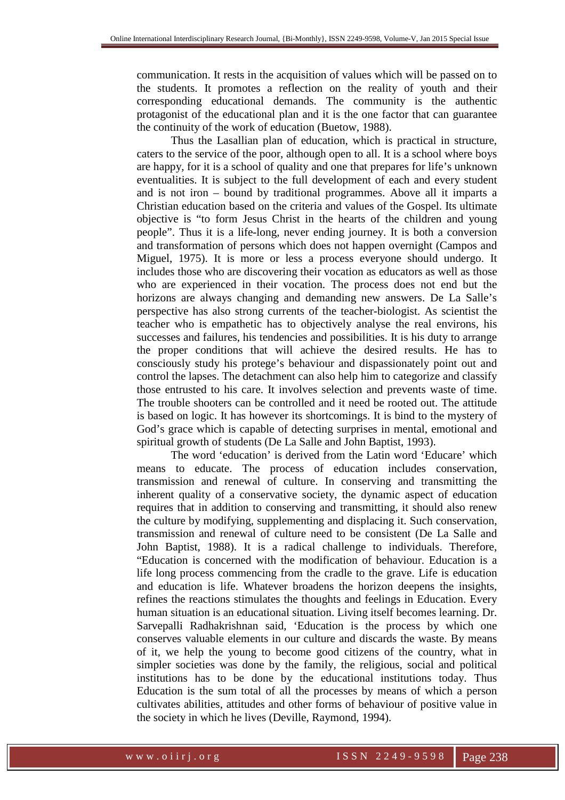communication. It rests in the acquisition of values which will be passed on to the students. It promotes a reflection on the reality of youth and their corresponding educational demands. The community is the authentic protagonist of the educational plan and it is the one factor that can guarantee the continuity of the work of education (Buetow, 1988).

 Thus the Lasallian plan of education, which is practical in structure, caters to the service of the poor, although open to all. It is a school where boys are happy, for it is a school of quality and one that prepares for life's unknown eventualities. It is subject to the full development of each and every student and is not iron – bound by traditional programmes. Above all it imparts a Christian education based on the criteria and values of the Gospel. Its ultimate objective is "to form Jesus Christ in the hearts of the children and young people". Thus it is a life-long, never ending journey. It is both a conversion and transformation of persons which does not happen overnight (Campos and Miguel, 1975). It is more or less a process everyone should undergo. It includes those who are discovering their vocation as educators as well as those who are experienced in their vocation. The process does not end but the horizons are always changing and demanding new answers. De La Salle's perspective has also strong currents of the teacher-biologist. As scientist the teacher who is empathetic has to objectively analyse the real environs, his successes and failures, his tendencies and possibilities. It is his duty to arrange the proper conditions that will achieve the desired results. He has to consciously study his protege's behaviour and dispassionately point out and control the lapses. The detachment can also help him to categorize and classify those entrusted to his care. It involves selection and prevents waste of time. The trouble shooters can be controlled and it need be rooted out. The attitude is based on logic. It has however its shortcomings. It is bind to the mystery of God's grace which is capable of detecting surprises in mental, emotional and spiritual growth of students (De La Salle and John Baptist, 1993).

 The word 'education' is derived from the Latin word 'Educare' which means to educate. The process of education includes conservation, transmission and renewal of culture. In conserving and transmitting the inherent quality of a conservative society, the dynamic aspect of education requires that in addition to conserving and transmitting, it should also renew the culture by modifying, supplementing and displacing it. Such conservation, transmission and renewal of culture need to be consistent (De La Salle and John Baptist, 1988). It is a radical challenge to individuals. Therefore, "Education is concerned with the modification of behaviour. Education is a life long process commencing from the cradle to the grave. Life is education and education is life. Whatever broadens the horizon deepens the insights, refines the reactions stimulates the thoughts and feelings in Education. Every human situation is an educational situation. Living itself becomes learning. Dr. Sarvepalli Radhakrishnan said, 'Education is the process by which one conserves valuable elements in our culture and discards the waste. By means of it, we help the young to become good citizens of the country, what in simpler societies was done by the family, the religious, social and political institutions has to be done by the educational institutions today. Thus Education is the sum total of all the processes by means of which a person cultivates abilities, attitudes and other forms of behaviour of positive value in the society in which he lives (Deville, Raymond, 1994).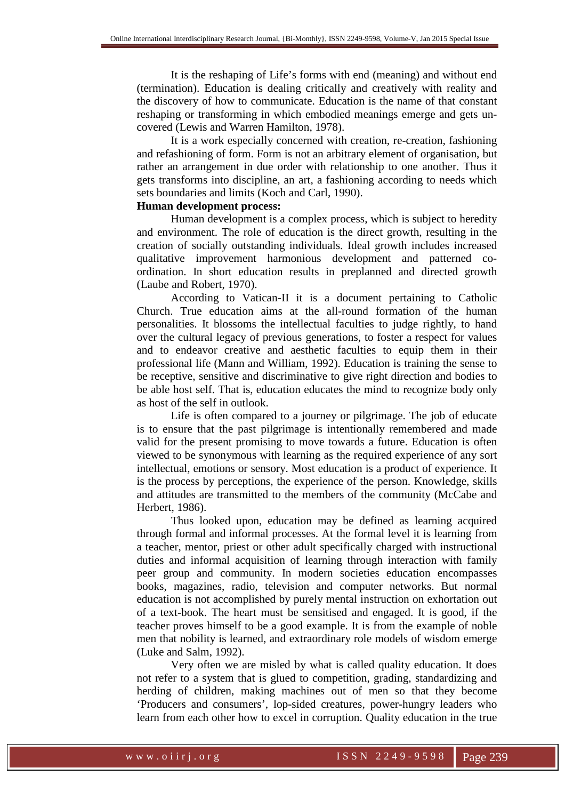It is the reshaping of Life's forms with end (meaning) and without end (termination). Education is dealing critically and creatively with reality and the discovery of how to communicate. Education is the name of that constant reshaping or transforming in which embodied meanings emerge and gets uncovered (Lewis and Warren Hamilton, 1978).

 It is a work especially concerned with creation, re-creation, fashioning and refashioning of form. Form is not an arbitrary element of organisation, but rather an arrangement in due order with relationship to one another. Thus it gets transforms into discipline, an art, a fashioning according to needs which sets boundaries and limits (Koch and Carl, 1990).

# **Human development process:**

 Human development is a complex process, which is subject to heredity and environment. The role of education is the direct growth, resulting in the creation of socially outstanding individuals. Ideal growth includes increased qualitative improvement harmonious development and patterned coordination. In short education results in preplanned and directed growth (Laube and Robert, 1970).

 According to Vatican-II it is a document pertaining to Catholic Church. True education aims at the all-round formation of the human personalities. It blossoms the intellectual faculties to judge rightly, to hand over the cultural legacy of previous generations, to foster a respect for values and to endeavor creative and aesthetic faculties to equip them in their professional life (Mann and William, 1992). Education is training the sense to be receptive, sensitive and discriminative to give right direction and bodies to be able host self. That is, education educates the mind to recognize body only as host of the self in outlook.

 Life is often compared to a journey or pilgrimage. The job of educate is to ensure that the past pilgrimage is intentionally remembered and made valid for the present promising to move towards a future. Education is often viewed to be synonymous with learning as the required experience of any sort intellectual, emotions or sensory. Most education is a product of experience. It is the process by perceptions, the experience of the person. Knowledge, skills and attitudes are transmitted to the members of the community (McCabe and Herbert, 1986).

 Thus looked upon, education may be defined as learning acquired through formal and informal processes. At the formal level it is learning from a teacher, mentor, priest or other adult specifically charged with instructional duties and informal acquisition of learning through interaction with family peer group and community. In modern societies education encompasses books, magazines, radio, television and computer networks. But normal education is not accomplished by purely mental instruction on exhortation out of a text-book. The heart must be sensitised and engaged. It is good, if the teacher proves himself to be a good example. It is from the example of noble men that nobility is learned, and extraordinary role models of wisdom emerge (Luke and Salm, 1992).

 Very often we are misled by what is called quality education. It does not refer to a system that is glued to competition, grading, standardizing and herding of children, making machines out of men so that they become 'Producers and consumers', lop-sided creatures, power-hungry leaders who learn from each other how to excel in corruption. Quality education in the true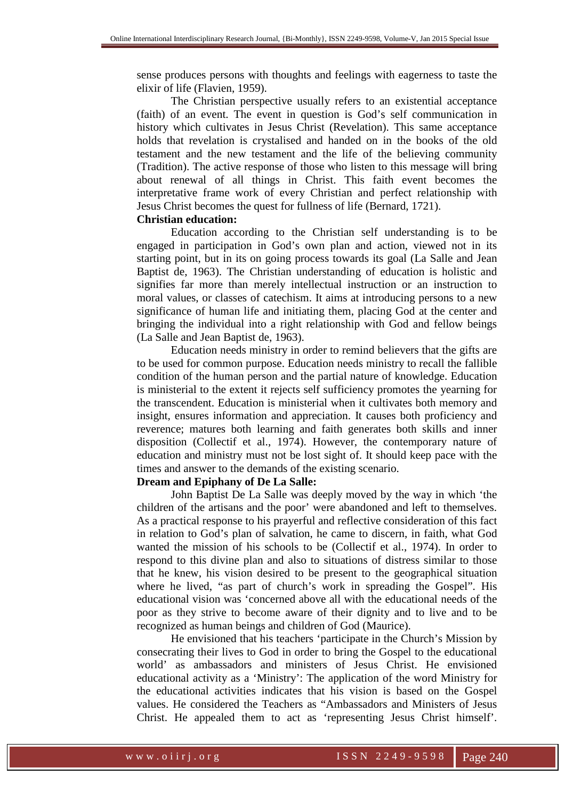sense produces persons with thoughts and feelings with eagerness to taste the elixir of life (Flavien, 1959).

 The Christian perspective usually refers to an existential acceptance (faith) of an event. The event in question is God's self communication in history which cultivates in Jesus Christ (Revelation). This same acceptance holds that revelation is crystalised and handed on in the books of the old testament and the new testament and the life of the believing community (Tradition). The active response of those who listen to this message will bring about renewal of all things in Christ. This faith event becomes the interpretative frame work of every Christian and perfect relationship with Jesus Christ becomes the quest for fullness of life (Bernard, 1721).

#### **Christian education:**

 Education according to the Christian self understanding is to be engaged in participation in God's own plan and action, viewed not in its starting point, but in its on going process towards its goal (La Salle and Jean Baptist de, 1963). The Christian understanding of education is holistic and signifies far more than merely intellectual instruction or an instruction to moral values, or classes of catechism. It aims at introducing persons to a new significance of human life and initiating them, placing God at the center and bringing the individual into a right relationship with God and fellow beings (La Salle and Jean Baptist de, 1963).

 Education needs ministry in order to remind believers that the gifts are to be used for common purpose. Education needs ministry to recall the fallible condition of the human person and the partial nature of knowledge. Education is ministerial to the extent it rejects self sufficiency promotes the yearning for the transcendent. Education is ministerial when it cultivates both memory and insight, ensures information and appreciation. It causes both proficiency and reverence; matures both learning and faith generates both skills and inner disposition (Collectif et al., 1974). However, the contemporary nature of education and ministry must not be lost sight of. It should keep pace with the times and answer to the demands of the existing scenario.

# **Dream and Epiphany of De La Salle:**

 John Baptist De La Salle was deeply moved by the way in which 'the children of the artisans and the poor' were abandoned and left to themselves. As a practical response to his prayerful and reflective consideration of this fact in relation to God's plan of salvation, he came to discern, in faith, what God wanted the mission of his schools to be (Collectif et al., 1974). In order to respond to this divine plan and also to situations of distress similar to those that he knew, his vision desired to be present to the geographical situation where he lived, "as part of church's work in spreading the Gospel". His educational vision was 'concerned above all with the educational needs of the poor as they strive to become aware of their dignity and to live and to be recognized as human beings and children of God (Maurice).

 He envisioned that his teachers 'participate in the Church's Mission by consecrating their lives to God in order to bring the Gospel to the educational world' as ambassadors and ministers of Jesus Christ. He envisioned educational activity as a 'Ministry': The application of the word Ministry for the educational activities indicates that his vision is based on the Gospel values. He considered the Teachers as "Ambassadors and Ministers of Jesus Christ. He appealed them to act as 'representing Jesus Christ himself'.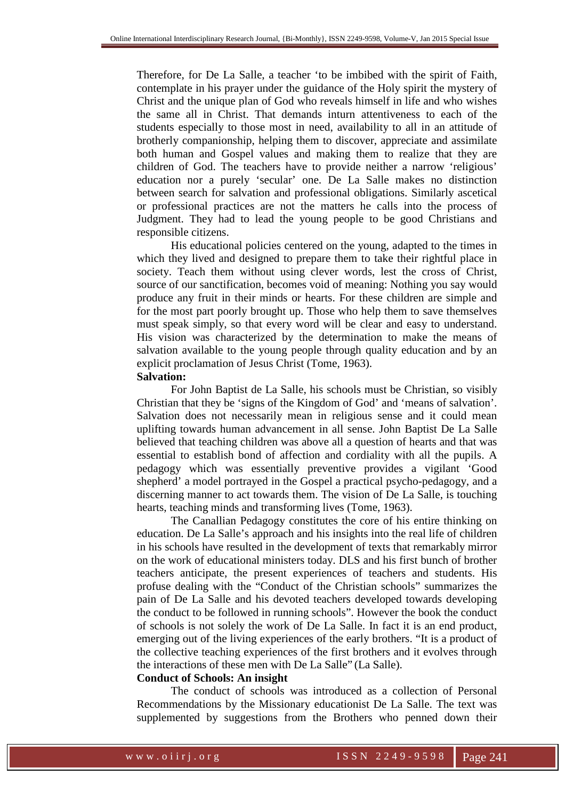Therefore, for De La Salle, a teacher 'to be imbibed with the spirit of Faith, contemplate in his prayer under the guidance of the Holy spirit the mystery of Christ and the unique plan of God who reveals himself in life and who wishes the same all in Christ. That demands inturn attentiveness to each of the students especially to those most in need, availability to all in an attitude of brotherly companionship, helping them to discover, appreciate and assimilate both human and Gospel values and making them to realize that they are children of God. The teachers have to provide neither a narrow 'religious' education nor a purely 'secular' one. De La Salle makes no distinction between search for salvation and professional obligations. Similarly ascetical or professional practices are not the matters he calls into the process of Judgment. They had to lead the young people to be good Christians and responsible citizens.

 His educational policies centered on the young, adapted to the times in which they lived and designed to prepare them to take their rightful place in society. Teach them without using clever words, lest the cross of Christ, source of our sanctification, becomes void of meaning: Nothing you say would produce any fruit in their minds or hearts. For these children are simple and for the most part poorly brought up. Those who help them to save themselves must speak simply, so that every word will be clear and easy to understand. His vision was characterized by the determination to make the means of salvation available to the young people through quality education and by an explicit proclamation of Jesus Christ (Tome, 1963).

#### **Salvation:**

 For John Baptist de La Salle, his schools must be Christian, so visibly Christian that they be 'signs of the Kingdom of God' and 'means of salvation'. Salvation does not necessarily mean in religious sense and it could mean uplifting towards human advancement in all sense. John Baptist De La Salle believed that teaching children was above all a question of hearts and that was essential to establish bond of affection and cordiality with all the pupils. A pedagogy which was essentially preventive provides a vigilant 'Good shepherd' a model portrayed in the Gospel a practical psycho-pedagogy, and a discerning manner to act towards them. The vision of De La Salle, is touching hearts, teaching minds and transforming lives (Tome, 1963).

 The Canallian Pedagogy constitutes the core of his entire thinking on education. De La Salle's approach and his insights into the real life of children in his schools have resulted in the development of texts that remarkably mirror on the work of educational ministers today. DLS and his first bunch of brother teachers anticipate, the present experiences of teachers and students. His profuse dealing with the "Conduct of the Christian schools" summarizes the pain of De La Salle and his devoted teachers developed towards developing the conduct to be followed in running schools". However the book the conduct of schools is not solely the work of De La Salle. In fact it is an end product, emerging out of the living experiences of the early brothers. "It is a product of the collective teaching experiences of the first brothers and it evolves through the interactions of these men with De La Salle" (La Salle).

#### **Conduct of Schools: An insight**

 The conduct of schools was introduced as a collection of Personal Recommendations by the Missionary educationist De La Salle. The text was supplemented by suggestions from the Brothers who penned down their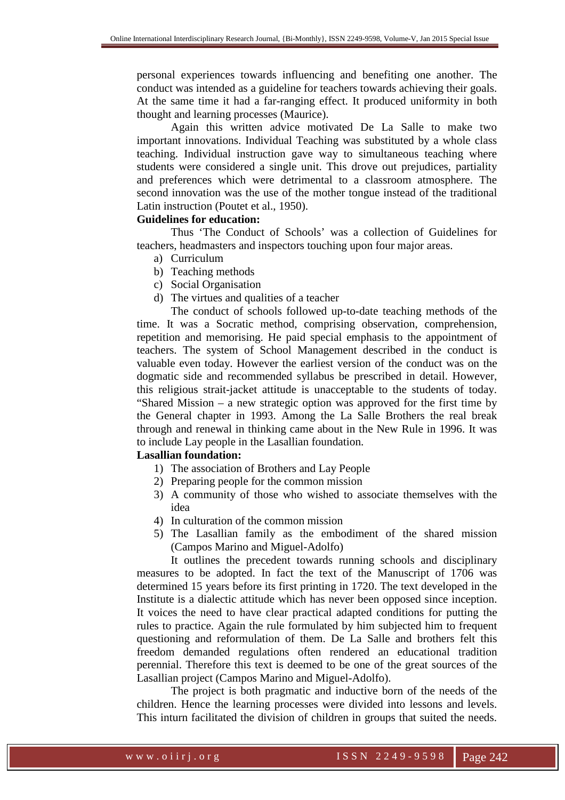personal experiences towards influencing and benefiting one another. The conduct was intended as a guideline for teachers towards achieving their goals. At the same time it had a far-ranging effect. It produced uniformity in both thought and learning processes (Maurice).

 Again this written advice motivated De La Salle to make two important innovations. Individual Teaching was substituted by a whole class teaching. Individual instruction gave way to simultaneous teaching where students were considered a single unit. This drove out prejudices, partiality and preferences which were detrimental to a classroom atmosphere. The second innovation was the use of the mother tongue instead of the traditional Latin instruction (Poutet et al., 1950).

## **Guidelines for education:**

 Thus 'The Conduct of Schools' was a collection of Guidelines for teachers, headmasters and inspectors touching upon four major areas.

- a) Curriculum
- b) Teaching methods
- c) Social Organisation
- d) The virtues and qualities of a teacher

 The conduct of schools followed up-to-date teaching methods of the time. It was a Socratic method, comprising observation, comprehension, repetition and memorising. He paid special emphasis to the appointment of teachers. The system of School Management described in the conduct is valuable even today. However the earliest version of the conduct was on the dogmatic side and recommended syllabus be prescribed in detail. However, this religious strait-jacket attitude is unacceptable to the students of today. "Shared Mission – a new strategic option was approved for the first time by the General chapter in 1993. Among the La Salle Brothers the real break through and renewal in thinking came about in the New Rule in 1996. It was to include Lay people in the Lasallian foundation.

# **Lasallian foundation:**

- 1) The association of Brothers and Lay People
- 2) Preparing people for the common mission
- 3) A community of those who wished to associate themselves with the idea
- 4) In culturation of the common mission
- 5) The Lasallian family as the embodiment of the shared mission (Campos Marino and Miguel-Adolfo)

 It outlines the precedent towards running schools and disciplinary measures to be adopted. In fact the text of the Manuscript of 1706 was determined 15 years before its first printing in 1720. The text developed in the Institute is a dialectic attitude which has never been opposed since inception. It voices the need to have clear practical adapted conditions for putting the rules to practice. Again the rule formulated by him subjected him to frequent questioning and reformulation of them. De La Salle and brothers felt this freedom demanded regulations often rendered an educational tradition perennial. Therefore this text is deemed to be one of the great sources of the Lasallian project (Campos Marino and Miguel-Adolfo).

 The project is both pragmatic and inductive born of the needs of the children. Hence the learning processes were divided into lessons and levels. This inturn facilitated the division of children in groups that suited the needs.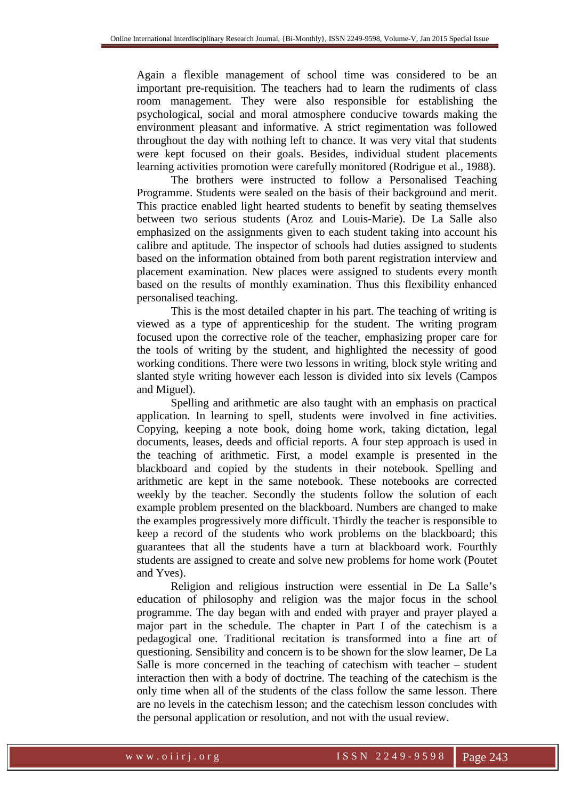Again a flexible management of school time was considered to be an important pre-requisition. The teachers had to learn the rudiments of class room management. They were also responsible for establishing the psychological, social and moral atmosphere conducive towards making the environment pleasant and informative. A strict regimentation was followed throughout the day with nothing left to chance. It was very vital that students were kept focused on their goals. Besides, individual student placements learning activities promotion were carefully monitored (Rodrigue et al., 1988).

 The brothers were instructed to follow a Personalised Teaching Programme. Students were sealed on the basis of their background and merit. This practice enabled light hearted students to benefit by seating themselves between two serious students (Aroz and Louis-Marie). De La Salle also emphasized on the assignments given to each student taking into account his calibre and aptitude. The inspector of schools had duties assigned to students based on the information obtained from both parent registration interview and placement examination. New places were assigned to students every month based on the results of monthly examination. Thus this flexibility enhanced personalised teaching.

 This is the most detailed chapter in his part. The teaching of writing is viewed as a type of apprenticeship for the student. The writing program focused upon the corrective role of the teacher, emphasizing proper care for the tools of writing by the student, and highlighted the necessity of good working conditions. There were two lessons in writing, block style writing and slanted style writing however each lesson is divided into six levels (Campos and Miguel).

 Spelling and arithmetic are also taught with an emphasis on practical application. In learning to spell, students were involved in fine activities. Copying, keeping a note book, doing home work, taking dictation, legal documents, leases, deeds and official reports. A four step approach is used in the teaching of arithmetic. First, a model example is presented in the blackboard and copied by the students in their notebook. Spelling and arithmetic are kept in the same notebook. These notebooks are corrected weekly by the teacher. Secondly the students follow the solution of each example problem presented on the blackboard. Numbers are changed to make the examples progressively more difficult. Thirdly the teacher is responsible to keep a record of the students who work problems on the blackboard; this guarantees that all the students have a turn at blackboard work. Fourthly students are assigned to create and solve new problems for home work (Poutet and Yves).

 Religion and religious instruction were essential in De La Salle's education of philosophy and religion was the major focus in the school programme. The day began with and ended with prayer and prayer played a major part in the schedule. The chapter in Part I of the catechism is a pedagogical one. Traditional recitation is transformed into a fine art of questioning. Sensibility and concern is to be shown for the slow learner, De La Salle is more concerned in the teaching of catechism with teacher – student interaction then with a body of doctrine. The teaching of the catechism is the only time when all of the students of the class follow the same lesson. There are no levels in the catechism lesson; and the catechism lesson concludes with the personal application or resolution, and not with the usual review.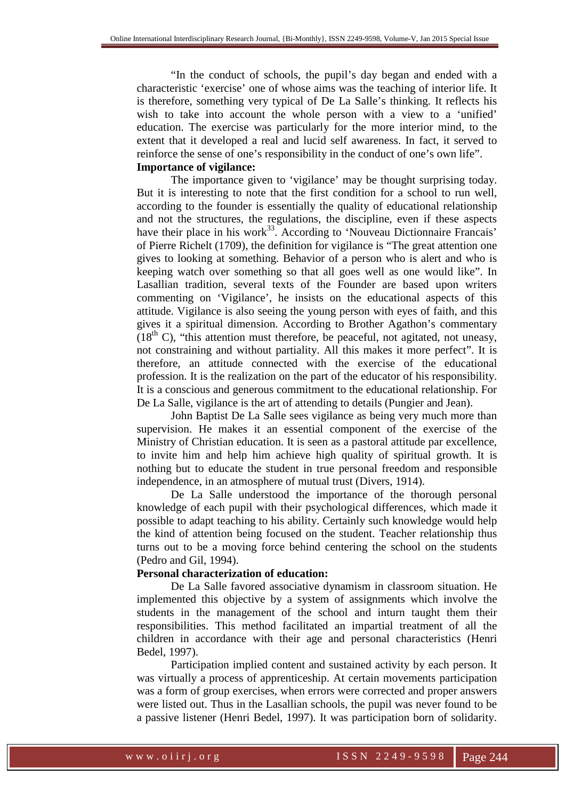"In the conduct of schools, the pupil's day began and ended with a characteristic 'exercise' one of whose aims was the teaching of interior life. It is therefore, something very typical of De La Salle's thinking. It reflects his wish to take into account the whole person with a view to a 'unified' education. The exercise was particularly for the more interior mind, to the extent that it developed a real and lucid self awareness. In fact, it served to reinforce the sense of one's responsibility in the conduct of one's own life". **Importance of vigilance:** 

 The importance given to 'vigilance' may be thought surprising today. But it is interesting to note that the first condition for a school to run well, according to the founder is essentially the quality of educational relationship and not the structures, the regulations, the discipline, even if these aspects have their place in his work<sup>33</sup>. According to 'Nouveau Dictionnaire Francais' of Pierre Richelt (1709), the definition for vigilance is "The great attention one gives to looking at something. Behavior of a person who is alert and who is keeping watch over something so that all goes well as one would like". In Lasallian tradition, several texts of the Founder are based upon writers commenting on 'Vigilance', he insists on the educational aspects of this attitude. Vigilance is also seeing the young person with eyes of faith, and this gives it a spiritual dimension. According to Brother Agathon's commentary  $(18<sup>th</sup> C)$ , "this attention must therefore, be peaceful, not agitated, not uneasy, not constraining and without partiality. All this makes it more perfect". It is therefore, an attitude connected with the exercise of the educational profession. It is the realization on the part of the educator of his responsibility. It is a conscious and generous commitment to the educational relationship. For De La Salle, vigilance is the art of attending to details (Pungier and Jean).

 John Baptist De La Salle sees vigilance as being very much more than supervision. He makes it an essential component of the exercise of the Ministry of Christian education. It is seen as a pastoral attitude par excellence, to invite him and help him achieve high quality of spiritual growth. It is nothing but to educate the student in true personal freedom and responsible independence, in an atmosphere of mutual trust (Divers, 1914).

 De La Salle understood the importance of the thorough personal knowledge of each pupil with their psychological differences, which made it possible to adapt teaching to his ability. Certainly such knowledge would help the kind of attention being focused on the student. Teacher relationship thus turns out to be a moving force behind centering the school on the students (Pedro and Gil, 1994).

#### **Personal characterization of education:**

 De La Salle favored associative dynamism in classroom situation. He implemented this objective by a system of assignments which involve the students in the management of the school and inturn taught them their responsibilities. This method facilitated an impartial treatment of all the children in accordance with their age and personal characteristics (Henri Bedel, 1997).

 Participation implied content and sustained activity by each person. It was virtually a process of apprenticeship. At certain movements participation was a form of group exercises, when errors were corrected and proper answers were listed out. Thus in the Lasallian schools, the pupil was never found to be a passive listener (Henri Bedel, 1997). It was participation born of solidarity.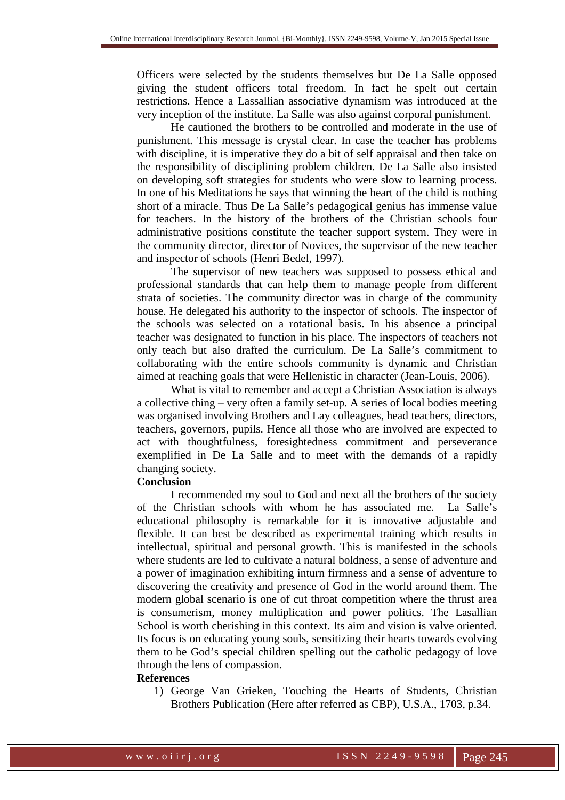Officers were selected by the students themselves but De La Salle opposed giving the student officers total freedom. In fact he spelt out certain restrictions. Hence a Lassallian associative dynamism was introduced at the very inception of the institute. La Salle was also against corporal punishment.

 He cautioned the brothers to be controlled and moderate in the use of punishment. This message is crystal clear. In case the teacher has problems with discipline, it is imperative they do a bit of self appraisal and then take on the responsibility of disciplining problem children. De La Salle also insisted on developing soft strategies for students who were slow to learning process. In one of his Meditations he says that winning the heart of the child is nothing short of a miracle. Thus De La Salle's pedagogical genius has immense value for teachers. In the history of the brothers of the Christian schools four administrative positions constitute the teacher support system. They were in the community director, director of Novices, the supervisor of the new teacher and inspector of schools (Henri Bedel, 1997).

 The supervisor of new teachers was supposed to possess ethical and professional standards that can help them to manage people from different strata of societies. The community director was in charge of the community house. He delegated his authority to the inspector of schools. The inspector of the schools was selected on a rotational basis. In his absence a principal teacher was designated to function in his place. The inspectors of teachers not only teach but also drafted the curriculum. De La Salle's commitment to collaborating with the entire schools community is dynamic and Christian aimed at reaching goals that were Hellenistic in character (Jean-Louis, 2006).

 What is vital to remember and accept a Christian Association is always a collective thing – very often a family set-up. A series of local bodies meeting was organised involving Brothers and Lay colleagues, head teachers, directors, teachers, governors, pupils. Hence all those who are involved are expected to act with thoughtfulness, foresightedness commitment and perseverance exemplified in De La Salle and to meet with the demands of a rapidly changing society.

# **Conclusion**

 I recommended my soul to God and next all the brothers of the society of the Christian schools with whom he has associated me. La Salle's educational philosophy is remarkable for it is innovative adjustable and flexible. It can best be described as experimental training which results in intellectual, spiritual and personal growth. This is manifested in the schools where students are led to cultivate a natural boldness, a sense of adventure and a power of imagination exhibiting inturn firmness and a sense of adventure to discovering the creativity and presence of God in the world around them. The modern global scenario is one of cut throat competition where the thrust area is consumerism, money multiplication and power politics. The Lasallian School is worth cherishing in this context. Its aim and vision is valve oriented. Its focus is on educating young souls, sensitizing their hearts towards evolving them to be God's special children spelling out the catholic pedagogy of love through the lens of compassion.

#### **References**

1) George Van Grieken, Touching the Hearts of Students, Christian Brothers Publication (Here after referred as CBP), U.S.A., 1703, p.34.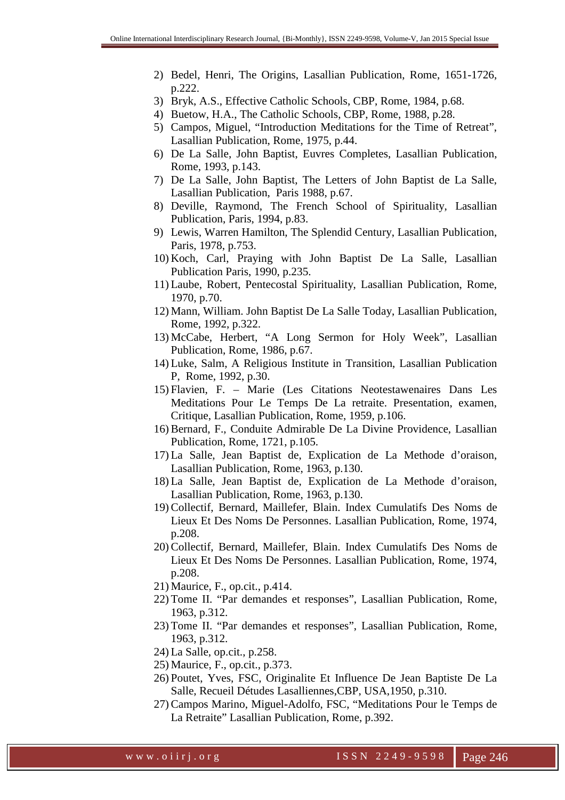- 2) Bedel, Henri, The Origins, Lasallian Publication, Rome, 1651-1726, p.222.
- 3) Bryk, A.S., Effective Catholic Schools, CBP, Rome, 1984, p.68.
- 4) Buetow, H.A., The Catholic Schools, CBP, Rome, 1988, p.28.
- 5) Campos, Miguel, "Introduction Meditations for the Time of Retreat", Lasallian Publication, Rome, 1975, p.44.
- 6) De La Salle, John Baptist, Euvres Completes, Lasallian Publication, Rome, 1993, p.143.
- 7) De La Salle, John Baptist, The Letters of John Baptist de La Salle, Lasallian Publication, Paris 1988, p.67.
- 8) Deville, Raymond, The French School of Spirituality, Lasallian Publication, Paris, 1994, p.83.
- 9) Lewis, Warren Hamilton, The Splendid Century, Lasallian Publication, Paris, 1978, p.753.
- 10) Koch, Carl, Praying with John Baptist De La Salle, Lasallian Publication Paris, 1990, p.235.
- 11) Laube, Robert, Pentecostal Spirituality, Lasallian Publication, Rome, 1970, p.70.
- 12) Mann, William. John Baptist De La Salle Today, Lasallian Publication, Rome, 1992, p.322.
- 13) McCabe, Herbert, "A Long Sermon for Holy Week", Lasallian Publication, Rome, 1986, p.67.
- 14) Luke, Salm, A Religious Institute in Transition, Lasallian Publication P, Rome, 1992, p.30.
- 15) Flavien, F. Marie (Les Citations Neotestawenaires Dans Les Meditations Pour Le Temps De La retraite. Presentation, examen, Critique, Lasallian Publication, Rome, 1959, p.106.
- 16) Bernard, F., Conduite Admirable De La Divine Providence, Lasallian Publication, Rome, 1721, p.105.
- 17) La Salle, Jean Baptist de, Explication de La Methode d'oraison, Lasallian Publication, Rome, 1963, p.130.
- 18) La Salle, Jean Baptist de, Explication de La Methode d'oraison, Lasallian Publication, Rome, 1963, p.130.
- 19) Collectif, Bernard, Maillefer, Blain. Index Cumulatifs Des Noms de Lieux Et Des Noms De Personnes. Lasallian Publication, Rome, 1974, p.208.
- 20) Collectif, Bernard, Maillefer, Blain. Index Cumulatifs Des Noms de Lieux Et Des Noms De Personnes. Lasallian Publication, Rome, 1974, p.208.
- 21) Maurice, F., op.cit., p.414.
- 22) Tome II. "Par demandes et responses", Lasallian Publication, Rome, 1963, p.312.
- 23) Tome II. "Par demandes et responses", Lasallian Publication, Rome, 1963, p.312.
- 24) La Salle, op.cit., p.258.
- 25) Maurice, F., op.cit., p.373.
- 26) Poutet, Yves, FSC, Originalite Et Influence De Jean Baptiste De La Salle, Recueil Détudes Lasalliennes,CBP, USA,1950, p.310.
- 27) Campos Marino, Miguel-Adolfo, FSC, "Meditations Pour le Temps de La Retraite" Lasallian Publication, Rome, p.392.